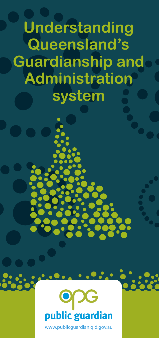**Understanding Queensland's Guardianship and Administration system**



 $\ddot{\bullet}$  : . . . .<br> $\dot{\bullet}$  : . . . .

www.publicguardian.qld.gov.au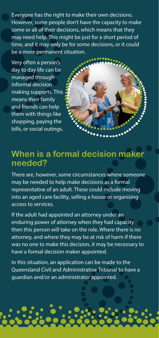Everyone has the right to make their own decisions. However, some people don't have the capacity to make some or all of their decisions, which means that they may need help. This might be just for a short period of time, and it may only be for some decisions, or it could be a more permanent situation.

Very often a person's day to day life can be managed through informal decision making supports. This means their family and friends can help them with things like shopping, paying the bills, or social outings.



### **When is a formal decision maker needed?**

There are, however, some circumstances where someone may be needed to help make decisions as a formal representative of an adult. These could include moving into an aged care facility, selling a house or organising access to services.

If the adult had appointed an attorney under an enduring power of attorney when they had capacity then this person will take on the role. Where there is no attorney, and where they may be at risk of harm if there was no one to make this decision, it may be necessary to have a formal decision maker appointed.

In this situation, an application can be made to the Queensland Civil and Administrative Tribunal to have a guardian and/or an administrator appointed.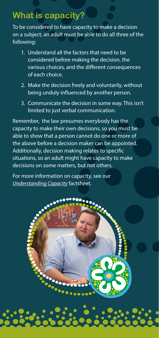## **What is capacity?**

To be considered to have capacity to make a decision on a subject, an adult must be able to do all three of the following:

- 1. Understand all the factors that need to be considered before making the decision, the various choices, and the different consequences of each choice.
- 2. Make the decision freely and voluntarily, without being unduly influenced by another person.
- 3. Communicate the decision in some way. This isn't limited to just verbal communication.

Remember, the law presumes everybody has the capacity to make their own decisions, so you must be able to show that a person cannot do one or more of the above before a decision maker can be appointed. Additionally, decision making relates to specific situations, so an adult might have capacity to make decisions on some matters, but not others.

For more information on capacity, see our *[Understanding Capacity](https://www.publicguardian.qld.gov.au/__data/assets/pdf_file/0020/620903/Factsheet_Understanding-capacity.pdf)* factsheet.

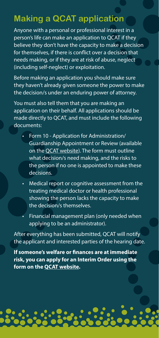### **Making a QCAT application**

Anyone with a personal or professional interest in a person's life can make an application to QCAT if they believe they don't have the capacity to make a decision for themselves, if there is conflict over a decision that needs making, or if they are at risk of abuse, neglect (including self-neglect) or exploitation.

Before making an application you should make sure they haven't already given someone the power to make the decision/s under an enduring power of attorney.

You must also tell them that you are making an application on their behalf. All applications should be made directly to QCAT, and must include the following documents:

- Form 10 Application for Administration/ Guardianship Appointment or Review (available on the [QCAT website](http://www.qcat.qld.gov.au)). The form must outline what decision/s need making, and the risks to the person if no one is appointed to make these decisions.
- Medical report or cognitive assessment from the treating medical doctor or health professional showing the person lacks the capacity to make the decision/s themselves.
- Financial management plan (only needed when applying to be an administrator).

After everything has been submitted, QCAT will notify the applicant and interested parties of the hearing date.

**If someone's welfare or finances are at immediate risk, you can apply for an Interim Order using the form on the [QCAT website](http://www.qcat.qld.gov.au).**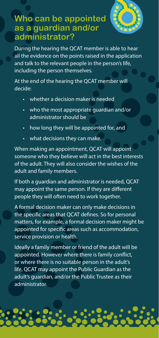

### **Who can be appointed as a guardian and/or administrator?**

During the hearing the QCAT member is able to hear all the evidence on the points raised in the application and talk to the relevant people in the person's life, including the person themselves.

At the end of the hearing the QCAT member will decide:

- whether a decision maker is needed
- who the most appropriate guardian and/or administrator should be
- how long they will be appointed for, and
- what decisions they can make.

When making an appointment, QCAT will appoint someone who they believe will act in the best interests of the adult. They will also consider the wishes of the adult and family members.

If both a guardian and administrator is needed, QCAT may appoint the same person. If they are different people they will often need to work together.

A formal decision maker can only make decisions in the specific areas that QCAT defines. So for personal matters, for example, a formal decision maker might be appointed for specific areas such as accommodation, service provision or health.

Ideally a family member or friend of the adult will be appointed. However where there is family conflict, or where there is no suitable person in the adult's life, QCAT may appoint the Public Guardian as the adult's guardian, and/or the Public Trustee as their administrator.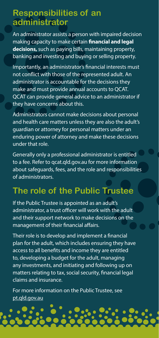### **Responsibilities of an administrator**

An administrator assists a person with impaired decision making capacity to make certain **financial and legal decisions,** such as paying bills, maintaining property, banking and investing and buying or selling property.

Importantly, an administrator's financial interests must not conflict with those of the represented adult. An administrator is accountable for the decisions they make and must provide annual accounts to QCAT. QCAT can provide general advice to an administrator if they have concerns about this.

Administrators cannot make decisions about personal and health care matters unless they are also the adult's guardian or attorney for personal matters under an enduring power of attorney and make these decisions under that role.

Generally only a professional administrator is entitled to a fee. Refer to qcat.qld.gov.au for more information about safeguards, fees, and the role and responsibilities of administrators.

## **The role of the Public Trustee**

If the Public Trustee is appointed as an adult's administrator, a trust officer will work with the adult and their support network to make decisions on the management of their financial affairs.

Their role is to develop and implement a financial plan for the adult, which includes ensuring they have access to all benefits and income they are entitled to, developing a budget for the adult, managing any investments, and initiating and following up on matters relating to tax, social security, financial legal claims and insurance.

For more information on the Public Trustee, see [pt.qld.gov.au](http://www.pt.qld.gov.au)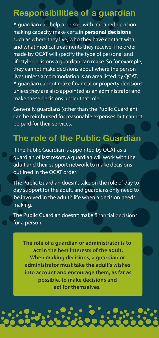### **Responsibilities of a guardian**

A guardian can help a person with impaired decision making capacity make certain **personal decisions** such as where they live, who they have contact with, and what medical treatments they receive. The order made by QCAT will specify the type of personal and lifestyle decisions a guardian can make. So for example, they cannot make decisions about where the person lives unless accommodation is an area listed by QCAT. A guardian cannot make financial or property decisions unless they are also appointed as an administrator and make these decisions under that role.

Generally guardians (other than the Public Guardian) can be reimbursed for reasonable expenses but cannot be paid for their services.

## **The role of the Public Guardian**

If the Public Guardian is appointed by QCAT as a guardian of last resort, a guardian will work with the adult and their support network to make decisions outlined in the QCAT order.

The Public Guardian doesn't take on the role of day to day support for the adult, and guardians only need to be involved in the adult's life when a decision needs making.

The Public Guardian doesn't make financial decisions for a person.

**The role of a guardian or administrator is to act in the best interests of the adult. When making decisions, a guardian or administrator must take the adult's wishes into account and encourage them, as far as possible, to make decisions and act for themselves.**